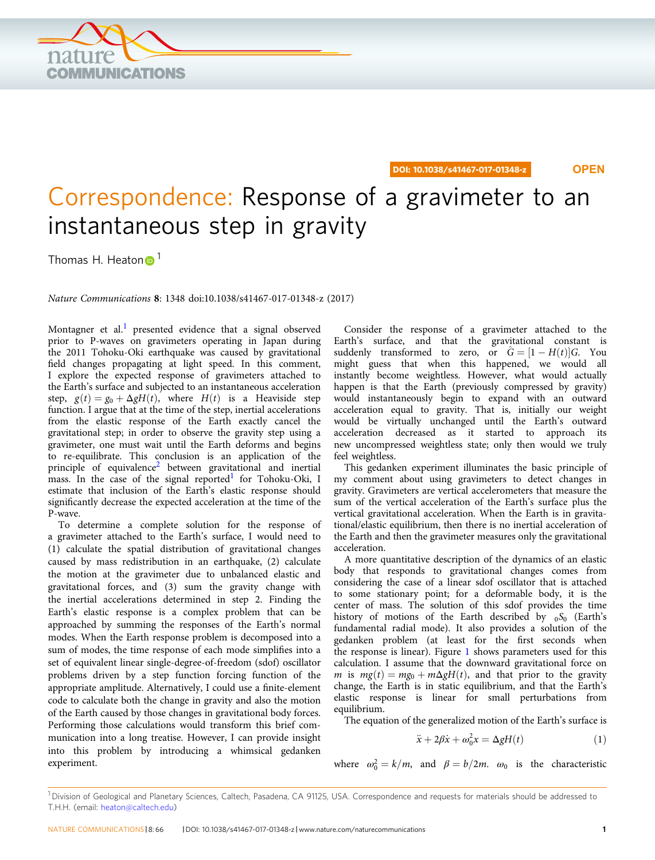NATURE COMMUNICATIONS 18:66 | DOI: 10.1038/s41467-017-01348-z | <www.nature.com/naturecommunications> [1](www.nature.com/naturecommunications)

<sup>1</sup> Division of Geological and Planetary Sciences, Caltech, Pasadena, CA 91125, USA. Correspondence and requests for materials should be addressed to

DOI: 10.1038/s41467-017-01348-z **OPEN**

## Correspondence: Response of a gravimeter to an instantaneous step in gravity

Thomas H. Heato[n](http://orcid.org/0000-0003-3363-2197)  $\odot$ <sup>1</sup>

Nature Communications 8: 1348 [doi:10.1038/s41467-017-01348-z](http://dx.doi.org/10.1038/s41467-017-01348-z) (2017)

Montagner et al. $<sup>1</sup>$  $<sup>1</sup>$  $<sup>1</sup>$  presented evidence that a signal observed</sup> prior to P-waves on gravimeters operating in Japan during the 2011 Tohoku-Oki earthquake was caused by gravitational field changes propagating at light speed. In this comment, I explore the expected response of gravimeters attached to the Earth's surface and subjected to an instantaneous acceleration step,  $g(t) = g_0 + \Delta g H(t)$ , where  $H(t)$  is a Heaviside step function. I argue that at the time of the step, inertial accelerations from the elastic response of the Earth exactly cancel the gravitational step; in order to observe the gravity step using a gravimeter, one must wait until the Earth deforms and begins to re-equilibrate. This conclusion is an application of the principle of equivalence<sup>[2](#page-2-0)</sup> between gravitational and inertial mass. In the case of the signal reported<sup>[1](#page-2-0)</sup> for Tohoku-Oki, I estimate that inclusion of the Earth's elastic response should significantly decrease the expected acceleration at the time of the P-wave.

To determine a complete solution for the response of a gravimeter attached to the Earth's surface, I would need to (1) calculate the spatial distribution of gravitational changes caused by mass redistribution in an earthquake, (2) calculate the motion at the gravimeter due to unbalanced elastic and gravitational forces, and (3) sum the gravity change with the inertial accelerations determined in step 2. Finding the Earth's elastic response is a complex problem that can be approached by summing the responses of the Earth's normal modes. When the Earth response problem is decomposed into a sum of modes, the time response of each mode simplifies into a set of equivalent linear single-degree-of-freedom (sdof) oscillator problems driven by a step function forcing function of the appropriate amplitude. Alternatively, I could use a finite-element code to calculate both the change in gravity and also the motion of the Earth caused by those changes in gravitational body forces. Performing those calculations would transform this brief communication into a long treatise. However, I can provide insight into this problem by introducing a whimsical gedanken experiment.

T.H.H. (email: [heaton@caltech.edu\)](mailto:heaton@caltech.edu)

Consider the response of a gravimeter attached to the Earth's surface, and that the gravitational constant is suddenly transformed to zero, or  $\hat{G} = [1 - H(t)]G$ . You might guess that when this happened, we would all instantly become weightless. However, what would actually happen is that the Earth (previously compressed by gravity) would instantaneously begin to expand with an outward acceleration equal to gravity. That is, initially our weight would be virtually unchanged until the Earth's outward acceleration decreased as it started to approach its new uncompressed weightless state; only then would we truly feel weightless.

This gedanken experiment illuminates the basic principle of my comment about using gravimeters to detect changes in gravity. Gravimeters are vertical accelerometers that measure the sum of the vertical acceleration of the Earth's surface plus the vertical gravitational acceleration. When the Earth is in gravitational/elastic equilibrium, then there is no inertial acceleration of the Earth and then the gravimeter measures only the gravitational acceleration.

A more quantitative description of the dynamics of an elastic body that responds to gravitational changes comes from considering the case of a linear sdof oscillator that is attached to some stationary point; for a deformable body, it is the center of mass. The solution of this sdof provides the time history of motions of the Earth described by  $_0S_0$  (Earth's fundamental radial mode). It also provides a solution of the gedanken problem (at least for the first seconds when the response is linear). Figure [1](#page-1-0) shows parameters used for this calculation. I assume that the downward gravitational force on m is  $mg(t) = mg_0 + m\Delta gH(t)$ , and that prior to the gravity change, the Earth is in static equilibrium, and that the Earth's elastic response is linear for small perturbations from equilibrium.

The equation of the generalized motion of the Earth's surface is

$$
\ddot{x} + 2\beta \dot{x} + \omega_0^2 x = \Delta g H(t)
$$
 (1)

where  $\omega_0^2 = k/m$ , and  $\beta = b/2m$ .  $\omega_0$  is the characteristic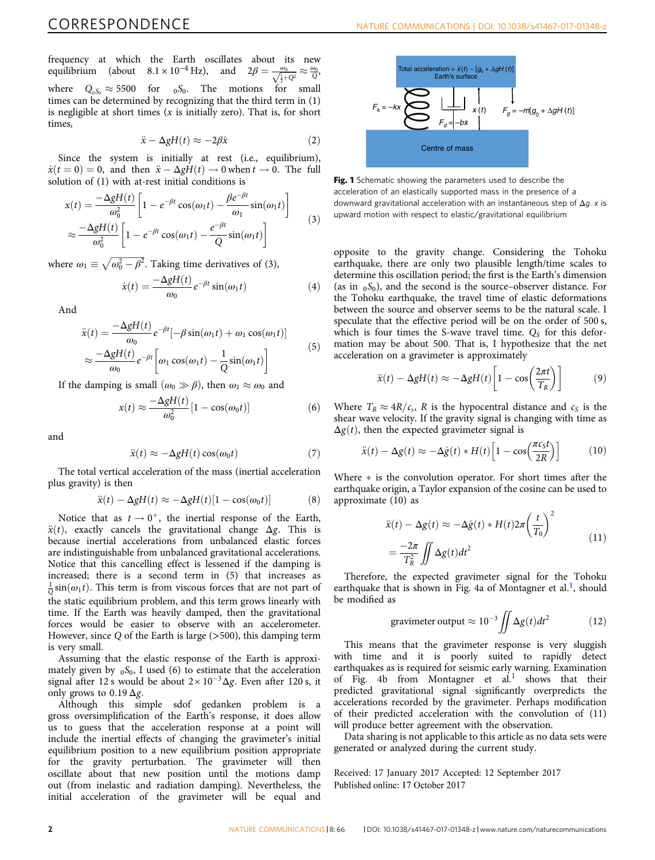<span id="page-1-0"></span>frequency at which the Earth oscillates about its new equilibrium (about  $8.1 \times 10^{-4}$  Hz), and  $2\beta = \frac{\omega_0}{\sqrt{\frac{1}{2} + Q^2}} \approx \frac{\omega_0}{Q}$ , where  $Q_{0.50} \approx 5500$  for  $0.50$ . The motions for small times can be determined by recognizing that the third term in (1) is negligible at short times  $(x$  is initially zero). That is, for short times,

$$
\ddot{x} - \Delta g H(t) \approx -2\beta \dot{x} \tag{2}
$$

Since the system is initially at rest (i.e., equilibrium),  $\dot{x}(t=0) = 0$ , and then  $\ddot{x} - \Delta g H(t) \rightarrow 0$  when  $t \rightarrow 0$ . The full solution of  $(1)$  with at-rest initial conditions is

$$
x(t) = \frac{-\Delta g H(t)}{\omega_0^2} \left[ 1 - e^{-\beta t} \cos(\omega_1 t) - \frac{\beta e^{-\beta t}}{\omega_1} \sin(\omega_1 t) \right]
$$
  

$$
\approx \frac{-\Delta g H(t)}{\omega_0^2} \left[ 1 - e^{-\beta t} \cos(\omega_1 t) - \frac{e^{-\beta t}}{Q} \sin(\omega_1 t) \right]
$$
(3)

where  $\omega_1 \equiv \sqrt{\omega_0^2 - \beta^2}$ . Taking time derivatives of (3),

$$
\dot{x}(t) = \frac{-\Delta g H(t)}{\omega_0} e^{-\beta t} \sin(\omega_1 t) \tag{4}
$$

And

$$
\ddot{x}(t) = \frac{-\Delta g H(t)}{\omega_0} e^{-\beta t} [-\beta \sin(\omega_1 t) + \omega_1 \cos(\omega_1 t)]
$$
  

$$
\approx \frac{-\Delta g H(t)}{\omega_0} e^{-\beta t} \left[ \omega_1 \cos(\omega_1 t) - \frac{1}{Q} \sin(\omega_1 t) \right]
$$
(5)

If the damping is small  $(\omega_0 \gg \beta)$ , then  $\omega_1 \approx \omega_0$  and

$$
x(t) \approx \frac{-\Delta g H(t)}{\omega_0^2} [1 - \cos(\omega_0 t)] \tag{6}
$$

and

$$
\ddot{x}(t) \approx -\Delta g H(t) \cos(\omega_0 t) \tag{7}
$$

The total vertical acceleration of the mass (inertial acceleration plus gravity) is then

$$
\ddot{x}(t) - \Delta g H(t) \approx -\Delta g H(t) [1 - \cos(\omega_0 t)] \tag{8}
$$

Notice that as  $t \to 0^+$ , the inertial response of the Earth,  $\ddot{x}(t)$ , exactly cancels the gravitational change  $\Delta g$ . This is because inertial accelerations from unbalanced elastic forces are indistinguishable from unbalanced gravitational accelerations. Notice that this cancelling effect is lessened if the damping is increased; there is a second term in (5) that increases as  $\frac{1}{Q}\sin(\omega_1 t)$ . This term is from viscous forces that are not part of the static equilibrium problem, and this term grows linearly with time. If the Earth was heavily damped, then the gravitational forces would be easier to observe with an accelerometer. However, since  $Q$  of the Earth is large  $(>500)$ , this damping term is very small.

Assuming that the elastic response of the Earth is approximately given by  $_0S_0$ , I used (6) to estimate that the acceleration signal after 12s would be about  $2 \times 10^{-3} \Delta g$ . Even after 120s, it only grows to 0.19  $\Delta g$ .

Although this simple sdof gedanken problem is a gross oversimplification of the Earth's response, it does allow us to guess that the acceleration response at a point will include the inertial effects of changing the gravimeter's initial equilibrium position to a new equilibrium position appropriate for the gravity perturbation. The gravimeter will then oscillate about that new position until the motions damp out (from inelastic and radiation damping). Nevertheless, the initial acceleration of the gravimeter will be equal and



Fig. 1 Schematic showing the parameters used to describe the acceleration of an elastically supported mass in the presence of a downward gravitational acceleration with an instantaneous step of  $\Delta g$ . x is upward motion with respect to elastic/gravitational equilibrium

opposite to the gravity change. Considering the Tohoku earthquake, there are only two plausible length/time scales to determine this oscillation period; the first is the Earth's dimension (as in  $_0S_0$ ), and the second is the source–observer distance. For the Tohoku earthquake, the travel time of elastic deformations between the source and observer seems to be the natural scale. I speculate that the effective period will be on the order of 500 s, which is four times the S-wave travel time.  $Q_S$  for this deformation may be about 500. That is, I hypothesize that the net acceleration on a gravimeter is approximately

$$
\ddot{x}(t) - \Delta g H(t) \approx -\Delta g H(t) \left[ 1 - \cos \left( \frac{2\pi t}{T_R} \right) \right]
$$
 (9)

Where  $T_R \approx 4R/c_s$ , R is the hypocentral distance and  $c_S$  is the shear wave velocity. If the gravity signal is changing with time as  $\Delta g(t)$ , then the expected gravimeter signal is

$$
\ddot{x}(t) - \Delta g(t) \approx -\Delta \dot{g}(t) * H(t) \left[ 1 - \cos \left( \frac{\pi c_S t}{2R} \right) \right]
$$
 (10)

Where  $*$  is the convolution operator. For short times after the earthquake origin, a Taylor expansion of the cosine can be used to approximate (10) as

$$
\ddot{x}(t) - \Delta g(t) \approx -\Delta \dot{g}(t) * H(t) 2\pi \left(\frac{t}{T_0}\right)^2
$$
\n
$$
= \frac{-2\pi}{T_R^2} \iint \Delta g(t) dt^2
$$
\n(11)

Therefore, the expected gravimeter signal for the Tohoku earthquake that is shown in Fig. 4a of Montagner et al.<sup>[1](#page-2-0)</sup>, should be modified as Zz

$$
\text{gravimeter output} \approx 10^{-3} \iint \Delta g(t) dt^2 \tag{12}
$$

This means that the gravimeter response is very sluggish with time and it is poorly suited to rapidly detect earthquakes as is required for seismic early warning. Examination of Fig. 4b from Montagner et al.<sup>1</sup> shows that their predicted gravitational signal significantly overpredicts the accelerations recorded by the gravimeter. Perhaps modification of their predicted acceleration with the convolution of (11) will produce better agreement with the observation.

Data sharing is not applicable to this article as no data sets were generated or analyzed during the current study.

Received: 17 January 2017 Accepted: 12 September 2017 Published online: 17 October 2017